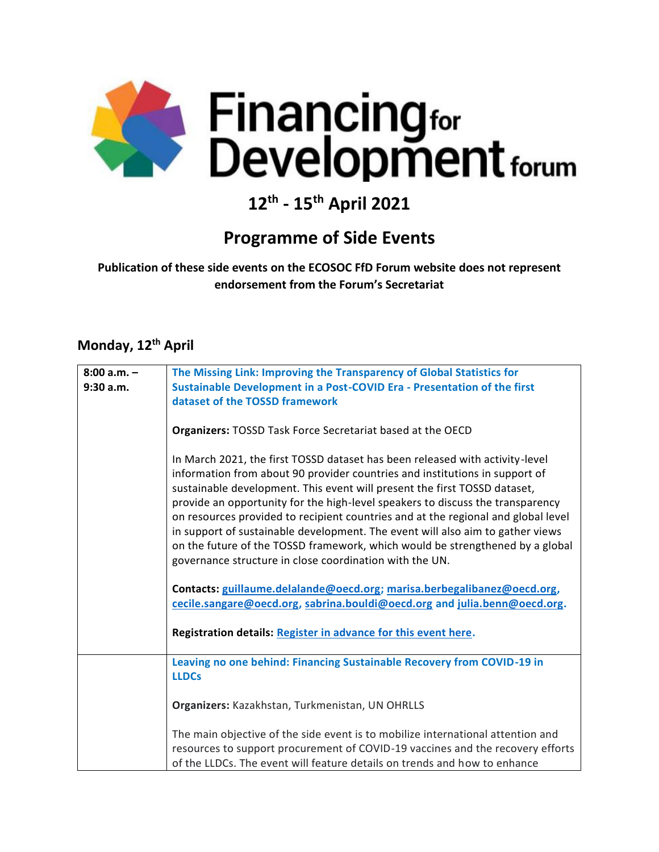

# **12th - 15th April 2021**

#### **Programme of Side Events**

**Publication of these side events on the ECOSOC FfD Forum website does not represent endorsement from the Forum's Secretariat**

#### **Monday, 12th April**

| $8:00 a.m. -$ | The Missing Link: Improving the Transparency of Global Statistics for             |
|---------------|-----------------------------------------------------------------------------------|
| 9:30a.m.      | Sustainable Development in a Post-COVID Era - Presentation of the first           |
|               | dataset of the TOSSD framework                                                    |
|               |                                                                                   |
|               | <b>Organizers: TOSSD Task Force Secretariat based at the OECD</b>                 |
|               |                                                                                   |
|               | In March 2021, the first TOSSD dataset has been released with activity-level      |
|               | information from about 90 provider countries and institutions in support of       |
|               | sustainable development. This event will present the first TOSSD dataset,         |
|               | provide an opportunity for the high-level speakers to discuss the transparency    |
|               | on resources provided to recipient countries and at the regional and global level |
|               | in support of sustainable development. The event will also aim to gather views    |
|               | on the future of the TOSSD framework, which would be strengthened by a global     |
|               | governance structure in close coordination with the UN.                           |
|               |                                                                                   |
|               | Contacts: guillaume.delalande@oecd.org; marisa.berbegalibanez@oecd.org,           |
|               | cecile.sangare@oecd.org, sabrina.bouldi@oecd.org and julia.benn@oecd.org.         |
|               |                                                                                   |
|               | Registration details: Register in advance for this event here.                    |
|               |                                                                                   |
|               | Leaving no one behind: Financing Sustainable Recovery from COVID-19 in            |
|               | <b>LLDCs</b>                                                                      |
|               |                                                                                   |
|               | Organizers: Kazakhstan, Turkmenistan, UN OHRLLS                                   |
|               |                                                                                   |
|               | The main objective of the side event is to mobilize international attention and   |
|               | resources to support procurement of COVID-19 vaccines and the recovery efforts    |
|               | of the LLDCs. The event will feature details on trends and how to enhance         |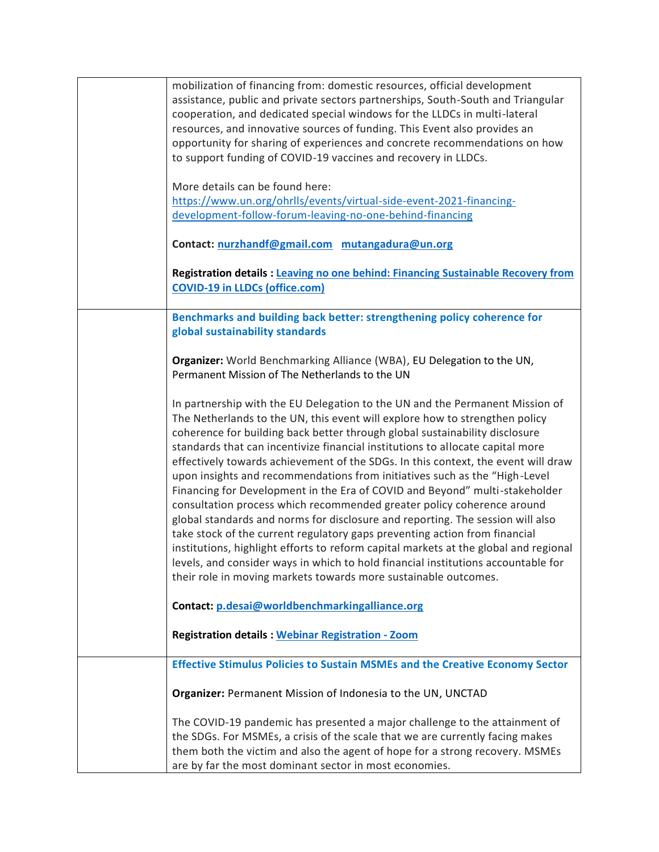| mobilization of financing from: domestic resources, official development             |
|--------------------------------------------------------------------------------------|
| assistance, public and private sectors partnerships, South-South and Triangular      |
| cooperation, and dedicated special windows for the LLDCs in multi-lateral            |
| resources, and innovative sources of funding. This Event also provides an            |
| opportunity for sharing of experiences and concrete recommendations on how           |
| to support funding of COVID-19 vaccines and recovery in LLDCs.                       |
|                                                                                      |
| More details can be found here:                                                      |
| https://www.un.org/ohrlls/events/virtual-side-event-2021-financing-                  |
| development-follow-forum-leaving-no-one-behind-financing                             |
|                                                                                      |
| Contact: nurzhandf@gmail.com mutangadura@un.org                                      |
|                                                                                      |
| Registration details : Leaving no one behind: Financing Sustainable Recovery from    |
| <b>COVID-19 in LLDCs (office.com)</b>                                                |
|                                                                                      |
| Benchmarks and building back better: strengthening policy coherence for              |
| global sustainability standards                                                      |
|                                                                                      |
| Organizer: World Benchmarking Alliance (WBA), EU Delegation to the UN,               |
| Permanent Mission of The Netherlands to the UN                                       |
|                                                                                      |
| In partnership with the EU Delegation to the UN and the Permanent Mission of         |
| The Netherlands to the UN, this event will explore how to strengthen policy          |
| coherence for building back better through global sustainability disclosure          |
|                                                                                      |
| standards that can incentivize financial institutions to allocate capital more       |
| effectively towards achievement of the SDGs. In this context, the event will draw    |
| upon insights and recommendations from initiatives such as the "High-Level           |
| Financing for Development in the Era of COVID and Beyond" multi-stakeholder          |
| consultation process which recommended greater policy coherence around               |
| global standards and norms for disclosure and reporting. The session will also       |
| take stock of the current regulatory gaps preventing action from financial           |
| institutions, highlight efforts to reform capital markets at the global and regional |
| levels, and consider ways in which to hold financial institutions accountable for    |
| their role in moving markets towards more sustainable outcomes.                      |
|                                                                                      |
| Contact: p.desai@worldbenchmarkingalliance.org                                       |
|                                                                                      |
| <b>Registration details: Webinar Registration - Zoom</b>                             |
|                                                                                      |
|                                                                                      |
| <b>Effective Stimulus Policies to Sustain MSMEs and the Creative Economy Sector</b>  |
|                                                                                      |
| Organizer: Permanent Mission of Indonesia to the UN, UNCTAD                          |
|                                                                                      |
| The COVID-19 pandemic has presented a major challenge to the attainment of           |
| the SDGs. For MSMEs, a crisis of the scale that we are currently facing makes        |
| them both the victim and also the agent of hope for a strong recovery. MSMEs         |
| are by far the most dominant sector in most economies.                               |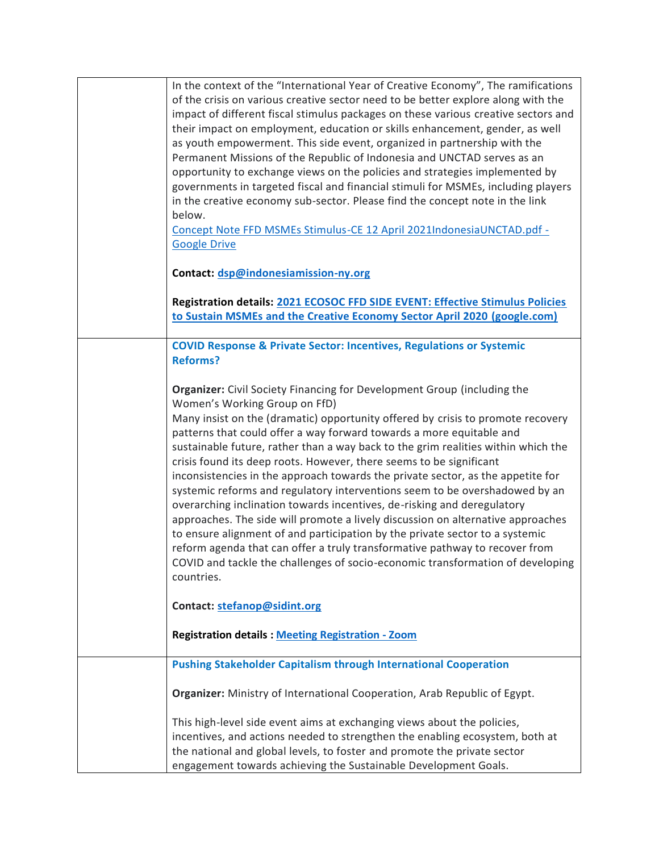| In the context of the "International Year of Creative Economy", The ramifications<br>of the crisis on various creative sector need to be better explore along with the<br>impact of different fiscal stimulus packages on these various creative sectors and<br>their impact on employment, education or skills enhancement, gender, as well<br>as youth empowerment. This side event, organized in partnership with the<br>Permanent Missions of the Republic of Indonesia and UNCTAD serves as an<br>opportunity to exchange views on the policies and strategies implemented by<br>governments in targeted fiscal and financial stimuli for MSMEs, including players<br>in the creative economy sub-sector. Please find the concept note in the link<br>below.<br>Concept Note FFD MSMEs Stimulus-CE 12 April 2021IndonesiaUNCTAD.pdf -<br><b>Google Drive</b><br>Contact: dsp@indonesiamission-ny.org                                                                                                                      |
|--------------------------------------------------------------------------------------------------------------------------------------------------------------------------------------------------------------------------------------------------------------------------------------------------------------------------------------------------------------------------------------------------------------------------------------------------------------------------------------------------------------------------------------------------------------------------------------------------------------------------------------------------------------------------------------------------------------------------------------------------------------------------------------------------------------------------------------------------------------------------------------------------------------------------------------------------------------------------------------------------------------------------------|
| Registration details: 2021 ECOSOC FFD SIDE EVENT: Effective Stimulus Policies<br>to Sustain MSMEs and the Creative Economy Sector April 2020 (google.com)                                                                                                                                                                                                                                                                                                                                                                                                                                                                                                                                                                                                                                                                                                                                                                                                                                                                      |
| <b>COVID Response &amp; Private Sector: Incentives, Regulations or Systemic</b><br><b>Reforms?</b>                                                                                                                                                                                                                                                                                                                                                                                                                                                                                                                                                                                                                                                                                                                                                                                                                                                                                                                             |
| Organizer: Civil Society Financing for Development Group (including the<br>Women's Working Group on FfD)<br>Many insist on the (dramatic) opportunity offered by crisis to promote recovery<br>patterns that could offer a way forward towards a more equitable and<br>sustainable future, rather than a way back to the grim realities within which the<br>crisis found its deep roots. However, there seems to be significant<br>inconsistencies in the approach towards the private sector, as the appetite for<br>systemic reforms and regulatory interventions seem to be overshadowed by an<br>overarching inclination towards incentives, de-risking and deregulatory<br>approaches. The side will promote a lively discussion on alternative approaches<br>to ensure alignment of and participation by the private sector to a systemic<br>reform agenda that can offer a truly transformative pathway to recover from<br>COVID and tackle the challenges of socio-economic transformation of developing<br>countries. |
| Contact: stefanop@sidint.org                                                                                                                                                                                                                                                                                                                                                                                                                                                                                                                                                                                                                                                                                                                                                                                                                                                                                                                                                                                                   |
| <b>Registration details: Meeting Registration - Zoom</b>                                                                                                                                                                                                                                                                                                                                                                                                                                                                                                                                                                                                                                                                                                                                                                                                                                                                                                                                                                       |
| <b>Pushing Stakeholder Capitalism through International Cooperation</b>                                                                                                                                                                                                                                                                                                                                                                                                                                                                                                                                                                                                                                                                                                                                                                                                                                                                                                                                                        |
| Organizer: Ministry of International Cooperation, Arab Republic of Egypt.                                                                                                                                                                                                                                                                                                                                                                                                                                                                                                                                                                                                                                                                                                                                                                                                                                                                                                                                                      |
| This high-level side event aims at exchanging views about the policies,<br>incentives, and actions needed to strengthen the enabling ecosystem, both at<br>the national and global levels, to foster and promote the private sector<br>engagement towards achieving the Sustainable Development Goals.                                                                                                                                                                                                                                                                                                                                                                                                                                                                                                                                                                                                                                                                                                                         |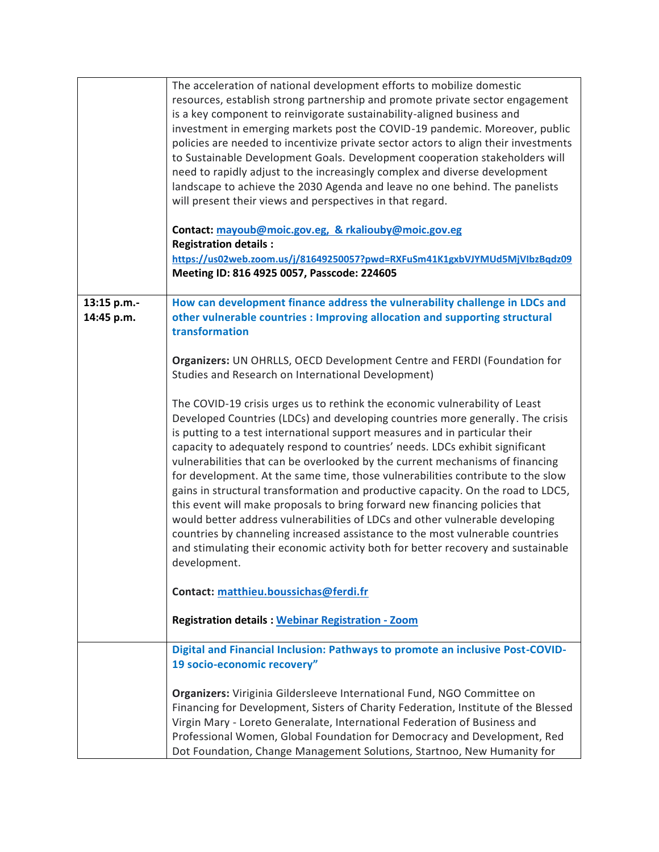|                           | The acceleration of national development efforts to mobilize domestic<br>resources, establish strong partnership and promote private sector engagement<br>is a key component to reinvigorate sustainability-aligned business and<br>investment in emerging markets post the COVID-19 pandemic. Moreover, public<br>policies are needed to incentivize private sector actors to align their investments<br>to Sustainable Development Goals. Development cooperation stakeholders will<br>need to rapidly adjust to the increasingly complex and diverse development<br>landscape to achieve the 2030 Agenda and leave no one behind. The panelists<br>will present their views and perspectives in that regard.<br>Contact: mayoub@moic.gov.eg, & rkaliouby@moic.gov.eg<br><b>Registration details:</b>                                                                                                                                  |
|---------------------------|------------------------------------------------------------------------------------------------------------------------------------------------------------------------------------------------------------------------------------------------------------------------------------------------------------------------------------------------------------------------------------------------------------------------------------------------------------------------------------------------------------------------------------------------------------------------------------------------------------------------------------------------------------------------------------------------------------------------------------------------------------------------------------------------------------------------------------------------------------------------------------------------------------------------------------------|
|                           | https://us02web.zoom.us/j/81649250057?pwd=RXFuSm41K1gxbVJYMUd5MjVlbzBqdz09<br>Meeting ID: 816 4925 0057, Passcode: 224605                                                                                                                                                                                                                                                                                                                                                                                                                                                                                                                                                                                                                                                                                                                                                                                                                |
| 13:15 p.m.-<br>14:45 p.m. | How can development finance address the vulnerability challenge in LDCs and<br>other vulnerable countries : Improving allocation and supporting structural<br>transformation                                                                                                                                                                                                                                                                                                                                                                                                                                                                                                                                                                                                                                                                                                                                                             |
|                           | Organizers: UN OHRLLS, OECD Development Centre and FERDI (Foundation for<br>Studies and Research on International Development)                                                                                                                                                                                                                                                                                                                                                                                                                                                                                                                                                                                                                                                                                                                                                                                                           |
|                           | The COVID-19 crisis urges us to rethink the economic vulnerability of Least<br>Developed Countries (LDCs) and developing countries more generally. The crisis<br>is putting to a test international support measures and in particular their<br>capacity to adequately respond to countries' needs. LDCs exhibit significant<br>vulnerabilities that can be overlooked by the current mechanisms of financing<br>for development. At the same time, those vulnerabilities contribute to the slow<br>gains in structural transformation and productive capacity. On the road to LDC5,<br>this event will make proposals to bring forward new financing policies that<br>would better address vulnerabilities of LDCs and other vulnerable developing<br>countries by channeling increased assistance to the most vulnerable countries<br>and stimulating their economic activity both for better recovery and sustainable<br>development. |
|                           | Contact: matthieu.boussichas@ferdi.fr<br><b>Registration details: Webinar Registration - Zoom</b>                                                                                                                                                                                                                                                                                                                                                                                                                                                                                                                                                                                                                                                                                                                                                                                                                                        |
|                           | Digital and Financial Inclusion: Pathways to promote an inclusive Post-COVID-<br>19 socio-economic recovery"                                                                                                                                                                                                                                                                                                                                                                                                                                                                                                                                                                                                                                                                                                                                                                                                                             |
|                           | Organizers: Viriginia Gildersleeve International Fund, NGO Committee on<br>Financing for Development, Sisters of Charity Federation, Institute of the Blessed<br>Virgin Mary - Loreto Generalate, International Federation of Business and<br>Professional Women, Global Foundation for Democracy and Development, Red<br>Dot Foundation, Change Management Solutions, Startnoo, New Humanity for                                                                                                                                                                                                                                                                                                                                                                                                                                                                                                                                        |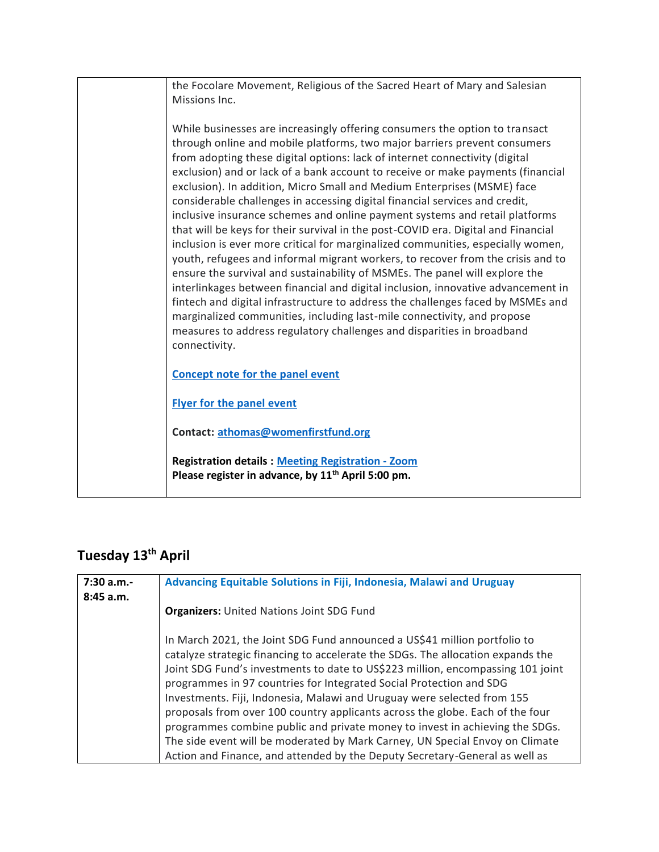| the Focolare Movement, Religious of the Sacred Heart of Mary and Salesian                                                                                                                                                                                                                                                                                                                                                                                                                                                                                                                                                                                                                                                                                                                                                                                                                                                                                                                                                                                                                                                                                                                                                                                  |
|------------------------------------------------------------------------------------------------------------------------------------------------------------------------------------------------------------------------------------------------------------------------------------------------------------------------------------------------------------------------------------------------------------------------------------------------------------------------------------------------------------------------------------------------------------------------------------------------------------------------------------------------------------------------------------------------------------------------------------------------------------------------------------------------------------------------------------------------------------------------------------------------------------------------------------------------------------------------------------------------------------------------------------------------------------------------------------------------------------------------------------------------------------------------------------------------------------------------------------------------------------|
| Missions Inc.                                                                                                                                                                                                                                                                                                                                                                                                                                                                                                                                                                                                                                                                                                                                                                                                                                                                                                                                                                                                                                                                                                                                                                                                                                              |
| While businesses are increasingly offering consumers the option to transact<br>through online and mobile platforms, two major barriers prevent consumers<br>from adopting these digital options: lack of internet connectivity (digital<br>exclusion) and or lack of a bank account to receive or make payments (financial<br>exclusion). In addition, Micro Small and Medium Enterprises (MSME) face<br>considerable challenges in accessing digital financial services and credit,<br>inclusive insurance schemes and online payment systems and retail platforms<br>that will be keys for their survival in the post-COVID era. Digital and Financial<br>inclusion is ever more critical for marginalized communities, especially women,<br>youth, refugees and informal migrant workers, to recover from the crisis and to<br>ensure the survival and sustainability of MSMEs. The panel will explore the<br>interlinkages between financial and digital inclusion, innovative advancement in<br>fintech and digital infrastructure to address the challenges faced by MSMEs and<br>marginalized communities, including last-mile connectivity, and propose<br>measures to address regulatory challenges and disparities in broadband<br>connectivity. |
| <b>Concept note for the panel event</b>                                                                                                                                                                                                                                                                                                                                                                                                                                                                                                                                                                                                                                                                                                                                                                                                                                                                                                                                                                                                                                                                                                                                                                                                                    |
| <b>Flyer for the panel event</b>                                                                                                                                                                                                                                                                                                                                                                                                                                                                                                                                                                                                                                                                                                                                                                                                                                                                                                                                                                                                                                                                                                                                                                                                                           |
| Contact: athomas@womenfirstfund.org                                                                                                                                                                                                                                                                                                                                                                                                                                                                                                                                                                                                                                                                                                                                                                                                                                                                                                                                                                                                                                                                                                                                                                                                                        |
| <b>Registration details: Meeting Registration - Zoom</b><br>Please register in advance, by 11 <sup>th</sup> April 5:00 pm.                                                                                                                                                                                                                                                                                                                                                                                                                                                                                                                                                                                                                                                                                                                                                                                                                                                                                                                                                                                                                                                                                                                                 |

## **Tuesday 13th April**

| 7:30 a.m.- | Advancing Equitable Solutions in Fiji, Indonesia, Malawi and Uruguay            |
|------------|---------------------------------------------------------------------------------|
| 8:45 a.m.  |                                                                                 |
|            | <b>Organizers:</b> United Nations Joint SDG Fund                                |
|            |                                                                                 |
|            | In March 2021, the Joint SDG Fund announced a US\$41 million portfolio to       |
|            | catalyze strategic financing to accelerate the SDGs. The allocation expands the |
|            | Joint SDG Fund's investments to date to US\$223 million, encompassing 101 joint |
|            | programmes in 97 countries for Integrated Social Protection and SDG             |
|            | Investments. Fiji, Indonesia, Malawi and Uruguay were selected from 155         |
|            | proposals from over 100 country applicants across the globe. Each of the four   |
|            | programmes combine public and private money to invest in achieving the SDGs.    |
|            | The side event will be moderated by Mark Carney, UN Special Envoy on Climate    |
|            | Action and Finance, and attended by the Deputy Secretary-General as well as     |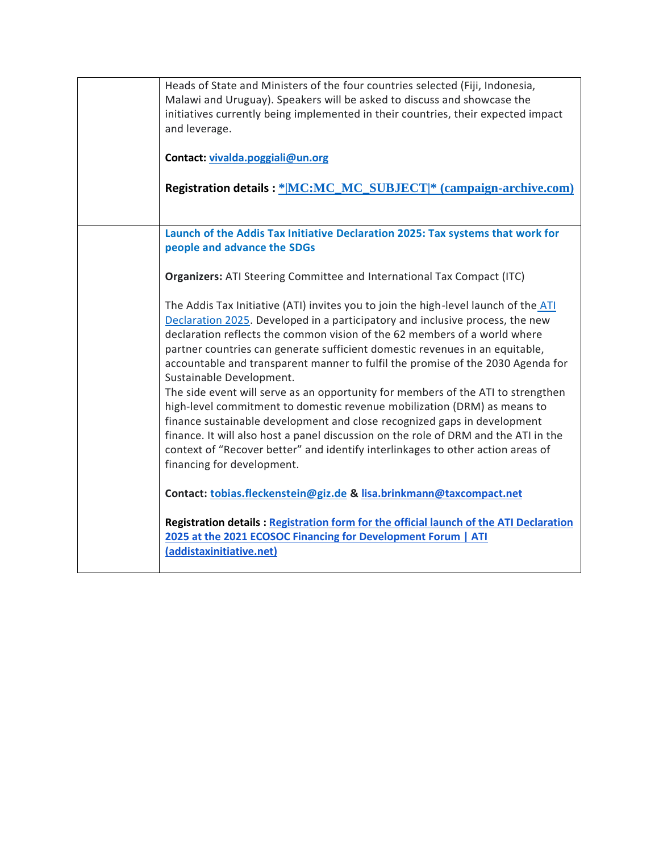| Heads of State and Ministers of the four countries selected (Fiji, Indonesia,<br>Malawi and Uruguay). Speakers will be asked to discuss and showcase the<br>initiatives currently being implemented in their countries, their expected impact<br>and leverage.<br>Contact: vivalda.poggiali@un.org<br>Registration details: * MC:MC_MC_SUBJECT * (campaign-archive.com)                                                                                                                                                                                                                                                                                                                                                                                                             |
|-------------------------------------------------------------------------------------------------------------------------------------------------------------------------------------------------------------------------------------------------------------------------------------------------------------------------------------------------------------------------------------------------------------------------------------------------------------------------------------------------------------------------------------------------------------------------------------------------------------------------------------------------------------------------------------------------------------------------------------------------------------------------------------|
|                                                                                                                                                                                                                                                                                                                                                                                                                                                                                                                                                                                                                                                                                                                                                                                     |
| Launch of the Addis Tax Initiative Declaration 2025: Tax systems that work for<br>people and advance the SDGs                                                                                                                                                                                                                                                                                                                                                                                                                                                                                                                                                                                                                                                                       |
| <b>Organizers:</b> ATI Steering Committee and International Tax Compact (ITC)                                                                                                                                                                                                                                                                                                                                                                                                                                                                                                                                                                                                                                                                                                       |
| The Addis Tax Initiative (ATI) invites you to join the high-level launch of the ATI<br>Declaration 2025. Developed in a participatory and inclusive process, the new<br>declaration reflects the common vision of the 62 members of a world where<br>partner countries can generate sufficient domestic revenues in an equitable,<br>accountable and transparent manner to fulfil the promise of the 2030 Agenda for<br>Sustainable Development.<br>The side event will serve as an opportunity for members of the ATI to strengthen<br>high-level commitment to domestic revenue mobilization (DRM) as means to<br>finance sustainable development and close recognized gaps in development<br>finance. It will also host a panel discussion on the role of DRM and the ATI in the |
| context of "Recover better" and identify interlinkages to other action areas of<br>financing for development.                                                                                                                                                                                                                                                                                                                                                                                                                                                                                                                                                                                                                                                                       |
| Contact: tobias.fleckenstein@giz.de & lisa.brinkmann@taxcompact.net                                                                                                                                                                                                                                                                                                                                                                                                                                                                                                                                                                                                                                                                                                                 |
| Registration details: Registration form for the official launch of the ATI Declaration<br>2025 at the 2021 ECOSOC Financing for Development Forum   ATI<br>(addistaxinitiative.net)                                                                                                                                                                                                                                                                                                                                                                                                                                                                                                                                                                                                 |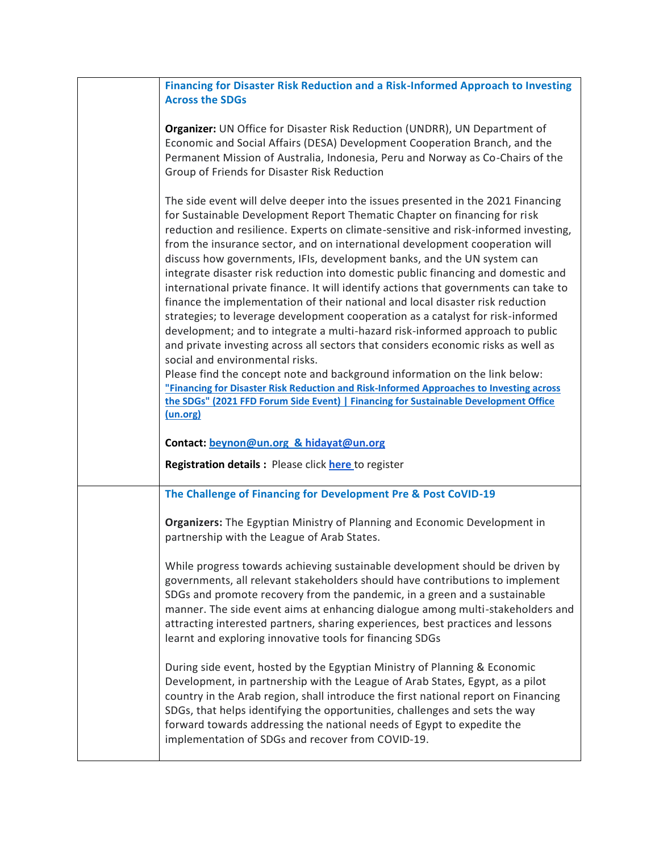| Financing for Disaster Risk Reduction and a Risk-Informed Approach to Investing                                                                                                                                                                                                                                                                                                                                                                                                                                                                                                                                                                                                                                                                                                                                                                                                                                                                                                                                                                                                                                                                                                                                                                         |
|---------------------------------------------------------------------------------------------------------------------------------------------------------------------------------------------------------------------------------------------------------------------------------------------------------------------------------------------------------------------------------------------------------------------------------------------------------------------------------------------------------------------------------------------------------------------------------------------------------------------------------------------------------------------------------------------------------------------------------------------------------------------------------------------------------------------------------------------------------------------------------------------------------------------------------------------------------------------------------------------------------------------------------------------------------------------------------------------------------------------------------------------------------------------------------------------------------------------------------------------------------|
| <b>Across the SDGs</b>                                                                                                                                                                                                                                                                                                                                                                                                                                                                                                                                                                                                                                                                                                                                                                                                                                                                                                                                                                                                                                                                                                                                                                                                                                  |
| Organizer: UN Office for Disaster Risk Reduction (UNDRR), UN Department of<br>Economic and Social Affairs (DESA) Development Cooperation Branch, and the<br>Permanent Mission of Australia, Indonesia, Peru and Norway as Co-Chairs of the<br>Group of Friends for Disaster Risk Reduction                                                                                                                                                                                                                                                                                                                                                                                                                                                                                                                                                                                                                                                                                                                                                                                                                                                                                                                                                              |
| The side event will delve deeper into the issues presented in the 2021 Financing<br>for Sustainable Development Report Thematic Chapter on financing for risk<br>reduction and resilience. Experts on climate-sensitive and risk-informed investing,<br>from the insurance sector, and on international development cooperation will<br>discuss how governments, IFIs, development banks, and the UN system can<br>integrate disaster risk reduction into domestic public financing and domestic and<br>international private finance. It will identify actions that governments can take to<br>finance the implementation of their national and local disaster risk reduction<br>strategies; to leverage development cooperation as a catalyst for risk-informed<br>development; and to integrate a multi-hazard risk-informed approach to public<br>and private investing across all sectors that considers economic risks as well as<br>social and environmental risks.<br>Please find the concept note and background information on the link below:<br>"Financing for Disaster Risk Reduction and Risk-Informed Approaches to Investing across<br>the SDGs" (2021 FFD Forum Side Event)   Financing for Sustainable Development Office<br>(un.org) |
| Contact: beynon@un.org & hidayat@un.org<br><b>Registration details:</b> Please click <b>here</b> to register                                                                                                                                                                                                                                                                                                                                                                                                                                                                                                                                                                                                                                                                                                                                                                                                                                                                                                                                                                                                                                                                                                                                            |
| The Challenge of Financing for Development Pre & Post CoVID-19                                                                                                                                                                                                                                                                                                                                                                                                                                                                                                                                                                                                                                                                                                                                                                                                                                                                                                                                                                                                                                                                                                                                                                                          |
| Organizers: The Egyptian Ministry of Planning and Economic Development in<br>partnership with the League of Arab States.                                                                                                                                                                                                                                                                                                                                                                                                                                                                                                                                                                                                                                                                                                                                                                                                                                                                                                                                                                                                                                                                                                                                |
| While progress towards achieving sustainable development should be driven by<br>governments, all relevant stakeholders should have contributions to implement<br>SDGs and promote recovery from the pandemic, in a green and a sustainable<br>manner. The side event aims at enhancing dialogue among multi-stakeholders and<br>attracting interested partners, sharing experiences, best practices and lessons<br>learnt and exploring innovative tools for financing SDGs                                                                                                                                                                                                                                                                                                                                                                                                                                                                                                                                                                                                                                                                                                                                                                             |
| During side event, hosted by the Egyptian Ministry of Planning & Economic<br>Development, in partnership with the League of Arab States, Egypt, as a pilot<br>country in the Arab region, shall introduce the first national report on Financing<br>SDGs, that helps identifying the opportunities, challenges and sets the way<br>forward towards addressing the national needs of Egypt to expedite the<br>implementation of SDGs and recover from COVID-19.                                                                                                                                                                                                                                                                                                                                                                                                                                                                                                                                                                                                                                                                                                                                                                                          |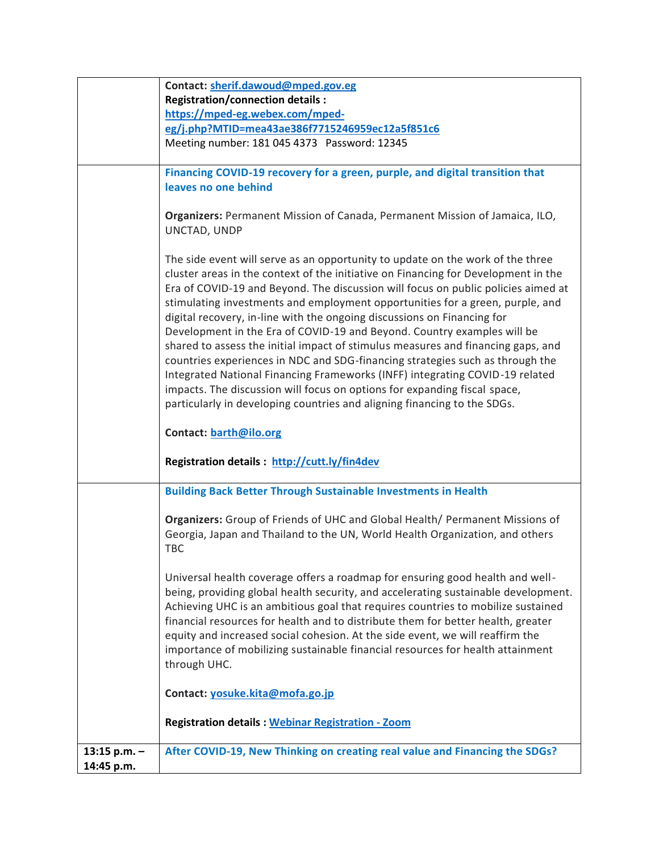|                | Contact: sherif.dawoud@mped.gov.eg                                                 |
|----------------|------------------------------------------------------------------------------------|
|                | <b>Registration/connection details:</b>                                            |
|                | https://mped-eg.webex.com/mped-                                                    |
|                | eg/j.php?MTID=mea43ae386f7715246959ec12a5f851c6                                    |
|                | Meeting number: 181 045 4373 Password: 12345                                       |
|                |                                                                                    |
|                | Financing COVID-19 recovery for a green, purple, and digital transition that       |
|                | leaves no one behind                                                               |
|                |                                                                                    |
|                | Organizers: Permanent Mission of Canada, Permanent Mission of Jamaica, ILO,        |
|                | UNCTAD, UNDP                                                                       |
|                |                                                                                    |
|                | The side event will serve as an opportunity to update on the work of the three     |
|                | cluster areas in the context of the initiative on Financing for Development in the |
|                | Era of COVID-19 and Beyond. The discussion will focus on public policies aimed at  |
|                | stimulating investments and employment opportunities for a green, purple, and      |
|                |                                                                                    |
|                | digital recovery, in-line with the ongoing discussions on Financing for            |
|                | Development in the Era of COVID-19 and Beyond. Country examples will be            |
|                | shared to assess the initial impact of stimulus measures and financing gaps, and   |
|                | countries experiences in NDC and SDG-financing strategies such as through the      |
|                | Integrated National Financing Frameworks (INFF) integrating COVID-19 related       |
|                | impacts. The discussion will focus on options for expanding fiscal space,          |
|                | particularly in developing countries and aligning financing to the SDGs.           |
|                |                                                                                    |
|                | Contact: barth@ilo.org                                                             |
|                |                                                                                    |
|                | Registration details: http://cutt.ly/fin4dev                                       |
|                |                                                                                    |
|                | <b>Building Back Better Through Sustainable Investments in Health</b>              |
|                |                                                                                    |
|                | Organizers: Group of Friends of UHC and Global Health/ Permanent Missions of       |
|                | Georgia, Japan and Thailand to the UN, World Health Organization, and others       |
|                | <b>TBC</b>                                                                         |
|                |                                                                                    |
|                | Universal health coverage offers a roadmap for ensuring good health and well-      |
|                | being, providing global health security, and accelerating sustainable development. |
|                | Achieving UHC is an ambitious goal that requires countries to mobilize sustained   |
|                | financial resources for health and to distribute them for better health, greater   |
|                | equity and increased social cohesion. At the side event, we will reaffirm the      |
|                | importance of mobilizing sustainable financial resources for health attainment     |
|                | through UHC.                                                                       |
|                |                                                                                    |
|                | Contact: yosuke.kita@mofa.go.jp                                                    |
|                |                                                                                    |
|                | <b>Registration details: Webinar Registration - Zoom</b>                           |
|                |                                                                                    |
| 13:15 p.m. $-$ | After COVID-19, New Thinking on creating real value and Financing the SDGs?        |
| 14:45 p.m.     |                                                                                    |
|                |                                                                                    |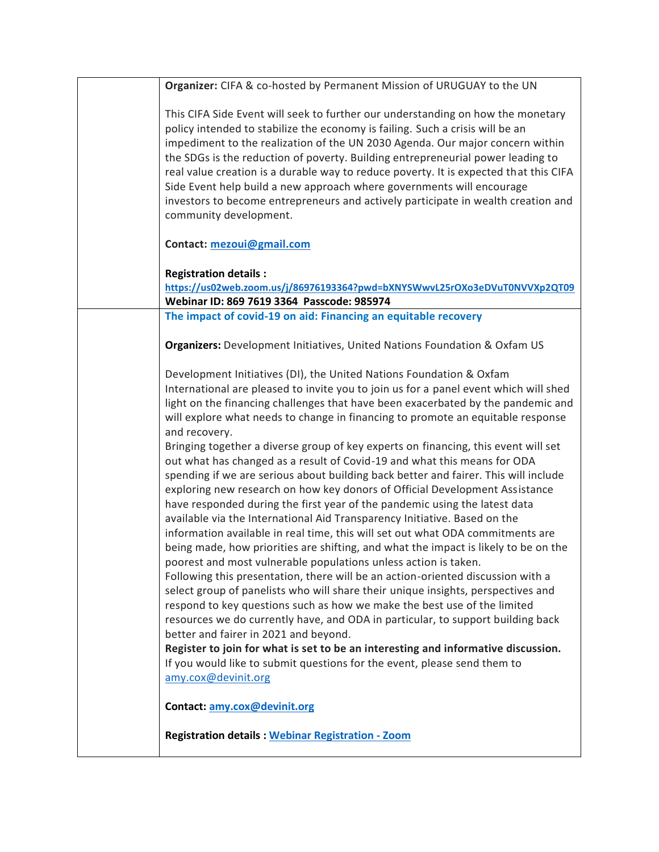| Organizer: CIFA & co-hosted by Permanent Mission of URUGUAY to the UN                                                                                  |
|--------------------------------------------------------------------------------------------------------------------------------------------------------|
|                                                                                                                                                        |
| This CIFA Side Event will seek to further our understanding on how the monetary                                                                        |
| policy intended to stabilize the economy is failing. Such a crisis will be an                                                                          |
| impediment to the realization of the UN 2030 Agenda. Our major concern within                                                                          |
| the SDGs is the reduction of poverty. Building entrepreneurial power leading to                                                                        |
| real value creation is a durable way to reduce poverty. It is expected that this CIFA                                                                  |
| Side Event help build a new approach where governments will encourage                                                                                  |
| investors to become entrepreneurs and actively participate in wealth creation and                                                                      |
| community development.                                                                                                                                 |
|                                                                                                                                                        |
| Contact: mezoui@gmail.com                                                                                                                              |
|                                                                                                                                                        |
| <b>Registration details:</b>                                                                                                                           |
| https://us02web.zoom.us/j/86976193364?pwd=bXNYSWwvL25rOXo3eDVuT0NVVXp2QT09                                                                             |
| Webinar ID: 869 7619 3364 Passcode: 985974                                                                                                             |
| The impact of covid-19 on aid: Financing an equitable recovery                                                                                         |
| <b>Organizers:</b> Development Initiatives, United Nations Foundation & Oxfam US                                                                       |
|                                                                                                                                                        |
| Development Initiatives (DI), the United Nations Foundation & Oxfam                                                                                    |
| International are pleased to invite you to join us for a panel event which will shed                                                                   |
| light on the financing challenges that have been exacerbated by the pandemic and                                                                       |
| will explore what needs to change in financing to promote an equitable response                                                                        |
| and recovery.                                                                                                                                          |
| Bringing together a diverse group of key experts on financing, this event will set                                                                     |
|                                                                                                                                                        |
| out what has changed as a result of Covid-19 and what this means for ODA                                                                               |
| spending if we are serious about building back better and fairer. This will include                                                                    |
| exploring new research on how key donors of Official Development Assistance                                                                            |
| have responded during the first year of the pandemic using the latest data                                                                             |
| available via the International Aid Transparency Initiative. Based on the                                                                              |
| information available in real time, this will set out what ODA commitments are                                                                         |
| being made, how priorities are shifting, and what the impact is likely to be on the<br>poorest and most vulnerable populations unless action is taken. |
| Following this presentation, there will be an action-oriented discussion with a                                                                        |
| select group of panelists who will share their unique insights, perspectives and                                                                       |
| respond to key questions such as how we make the best use of the limited                                                                               |
| resources we do currently have, and ODA in particular, to support building back                                                                        |
| better and fairer in 2021 and beyond.                                                                                                                  |
|                                                                                                                                                        |
| Register to join for what is set to be an interesting and informative discussion.                                                                      |
| If you would like to submit questions for the event, please send them to                                                                               |
| amy.cox@devinit.org                                                                                                                                    |
| Contact: amy.cox@devinit.org                                                                                                                           |
|                                                                                                                                                        |
| <b>Registration details: Webinar Registration - Zoom</b>                                                                                               |
|                                                                                                                                                        |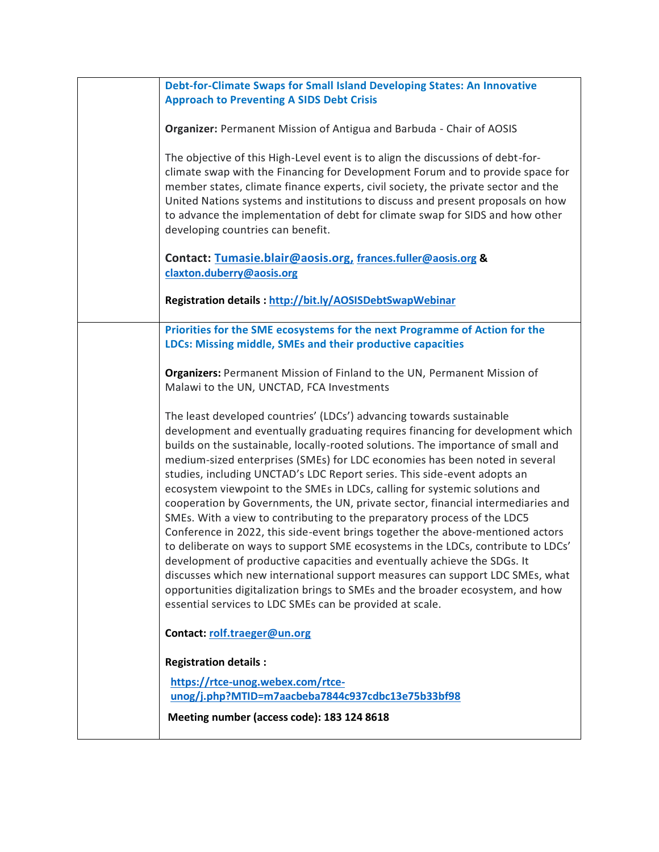| Debt-for-Climate Swaps for Small Island Developing States: An Innovative<br><b>Approach to Preventing A SIDS Debt Crisis</b>                                                                                                                                                                                                                                                                                                                                                                                                                                                                                                                                                                                                                                                                                                                                                                                                                                                                                                                                                                                                          |
|---------------------------------------------------------------------------------------------------------------------------------------------------------------------------------------------------------------------------------------------------------------------------------------------------------------------------------------------------------------------------------------------------------------------------------------------------------------------------------------------------------------------------------------------------------------------------------------------------------------------------------------------------------------------------------------------------------------------------------------------------------------------------------------------------------------------------------------------------------------------------------------------------------------------------------------------------------------------------------------------------------------------------------------------------------------------------------------------------------------------------------------|
|                                                                                                                                                                                                                                                                                                                                                                                                                                                                                                                                                                                                                                                                                                                                                                                                                                                                                                                                                                                                                                                                                                                                       |
| Organizer: Permanent Mission of Antigua and Barbuda - Chair of AOSIS                                                                                                                                                                                                                                                                                                                                                                                                                                                                                                                                                                                                                                                                                                                                                                                                                                                                                                                                                                                                                                                                  |
| The objective of this High-Level event is to align the discussions of debt-for-<br>climate swap with the Financing for Development Forum and to provide space for<br>member states, climate finance experts, civil society, the private sector and the<br>United Nations systems and institutions to discuss and present proposals on how<br>to advance the implementation of debt for climate swap for SIDS and how other<br>developing countries can benefit.                                                                                                                                                                                                                                                                                                                                                                                                                                                                                                                                                                                                                                                                       |
| Contact: Tumasie.blair@aosis.org, frances.fuller@aosis.org &<br>claxton.duberry@aosis.org                                                                                                                                                                                                                                                                                                                                                                                                                                                                                                                                                                                                                                                                                                                                                                                                                                                                                                                                                                                                                                             |
| Registration details: http://bit.ly/AOSISDebtSwapWebinar                                                                                                                                                                                                                                                                                                                                                                                                                                                                                                                                                                                                                                                                                                                                                                                                                                                                                                                                                                                                                                                                              |
| Priorities for the SME ecosystems for the next Programme of Action for the<br>LDCs: Missing middle, SMEs and their productive capacities                                                                                                                                                                                                                                                                                                                                                                                                                                                                                                                                                                                                                                                                                                                                                                                                                                                                                                                                                                                              |
| Organizers: Permanent Mission of Finland to the UN, Permanent Mission of<br>Malawi to the UN, UNCTAD, FCA Investments                                                                                                                                                                                                                                                                                                                                                                                                                                                                                                                                                                                                                                                                                                                                                                                                                                                                                                                                                                                                                 |
| The least developed countries' (LDCs') advancing towards sustainable<br>development and eventually graduating requires financing for development which<br>builds on the sustainable, locally-rooted solutions. The importance of small and<br>medium-sized enterprises (SMEs) for LDC economies has been noted in several<br>studies, including UNCTAD's LDC Report series. This side-event adopts an<br>ecosystem viewpoint to the SMEs in LDCs, calling for systemic solutions and<br>cooperation by Governments, the UN, private sector, financial intermediaries and<br>SMEs. With a view to contributing to the preparatory process of the LDC5<br>Conference in 2022, this side-event brings together the above-mentioned actors<br>to deliberate on ways to support SME ecosystems in the LDCs, contribute to LDCs'<br>development of productive capacities and eventually achieve the SDGs. It<br>discusses which new international support measures can support LDC SMEs, what<br>opportunities digitalization brings to SMEs and the broader ecosystem, and how<br>essential services to LDC SMEs can be provided at scale. |
| Contact: rolf.traeger@un.org                                                                                                                                                                                                                                                                                                                                                                                                                                                                                                                                                                                                                                                                                                                                                                                                                                                                                                                                                                                                                                                                                                          |
| <b>Registration details:</b>                                                                                                                                                                                                                                                                                                                                                                                                                                                                                                                                                                                                                                                                                                                                                                                                                                                                                                                                                                                                                                                                                                          |
| https://rtce-unog.webex.com/rtce-                                                                                                                                                                                                                                                                                                                                                                                                                                                                                                                                                                                                                                                                                                                                                                                                                                                                                                                                                                                                                                                                                                     |
| unog/j.php?MTID=m7aacbeba7844c937cdbc13e75b33bf98                                                                                                                                                                                                                                                                                                                                                                                                                                                                                                                                                                                                                                                                                                                                                                                                                                                                                                                                                                                                                                                                                     |
| Meeting number (access code): 183 124 8618                                                                                                                                                                                                                                                                                                                                                                                                                                                                                                                                                                                                                                                                                                                                                                                                                                                                                                                                                                                                                                                                                            |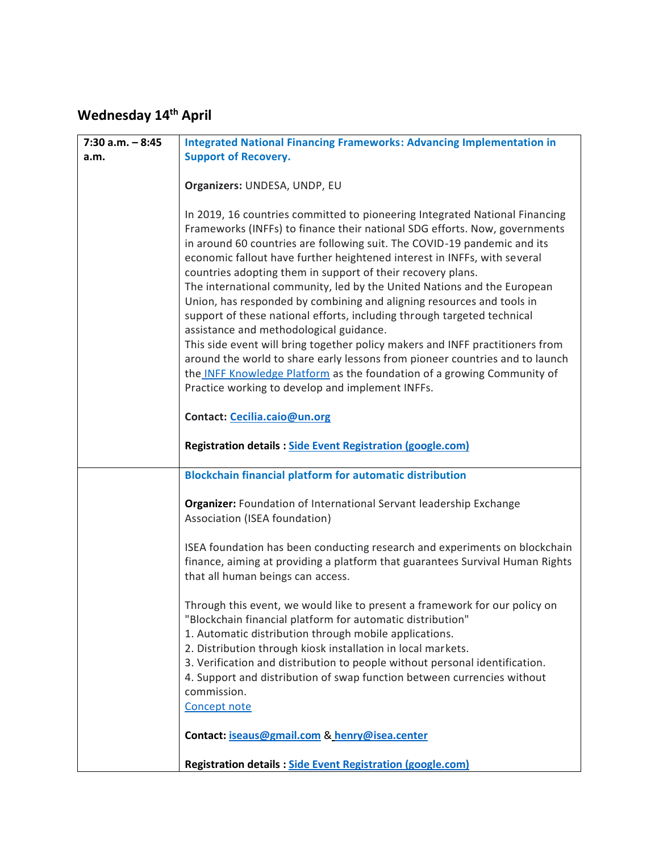## **Wednesday 14th April**

| $7:30$ a.m. $-8:45$ | <b>Integrated National Financing Frameworks: Advancing Implementation in</b>                                                                         |
|---------------------|------------------------------------------------------------------------------------------------------------------------------------------------------|
| a.m.                | <b>Support of Recovery.</b>                                                                                                                          |
|                     |                                                                                                                                                      |
|                     | Organizers: UNDESA, UNDP, EU                                                                                                                         |
|                     |                                                                                                                                                      |
|                     | In 2019, 16 countries committed to pioneering Integrated National Financing                                                                          |
|                     | Frameworks (INFFs) to finance their national SDG efforts. Now, governments                                                                           |
|                     | in around 60 countries are following suit. The COVID-19 pandemic and its<br>economic fallout have further heightened interest in INFFs, with several |
|                     | countries adopting them in support of their recovery plans.                                                                                          |
|                     | The international community, led by the United Nations and the European                                                                              |
|                     | Union, has responded by combining and aligning resources and tools in                                                                                |
|                     | support of these national efforts, including through targeted technical                                                                              |
|                     | assistance and methodological guidance.                                                                                                              |
|                     | This side event will bring together policy makers and INFF practitioners from                                                                        |
|                     | around the world to share early lessons from pioneer countries and to launch                                                                         |
|                     | the INFF Knowledge Platform as the foundation of a growing Community of                                                                              |
|                     | Practice working to develop and implement INFFs.                                                                                                     |
|                     | Contact: Cecilia.caio@un.org                                                                                                                         |
|                     |                                                                                                                                                      |
|                     | <b>Registration details: Side Event Registration (google.com)</b>                                                                                    |
|                     |                                                                                                                                                      |
|                     | <b>Blockchain financial platform for automatic distribution</b>                                                                                      |
|                     |                                                                                                                                                      |
|                     | Organizer: Foundation of International Servant leadership Exchange<br>Association (ISEA foundation)                                                  |
|                     |                                                                                                                                                      |
|                     | ISEA foundation has been conducting research and experiments on blockchain                                                                           |
|                     | finance, aiming at providing a platform that guarantees Survival Human Rights                                                                        |
|                     | that all human beings can access.                                                                                                                    |
|                     |                                                                                                                                                      |
|                     | Through this event, we would like to present a framework for our policy on                                                                           |
|                     | "Blockchain financial platform for automatic distribution"                                                                                           |
|                     | 1. Automatic distribution through mobile applications.<br>2. Distribution through kiosk installation in local markets.                               |
|                     | 3. Verification and distribution to people without personal identification.                                                                          |
|                     | 4. Support and distribution of swap function between currencies without                                                                              |
|                     | commission.                                                                                                                                          |
|                     | Concept note                                                                                                                                         |
|                     |                                                                                                                                                      |
|                     | Contact: iseaus@gmail.com & henry@isea.center                                                                                                        |
|                     |                                                                                                                                                      |
|                     | <b>Registration details: Side Event Registration (google.com)</b>                                                                                    |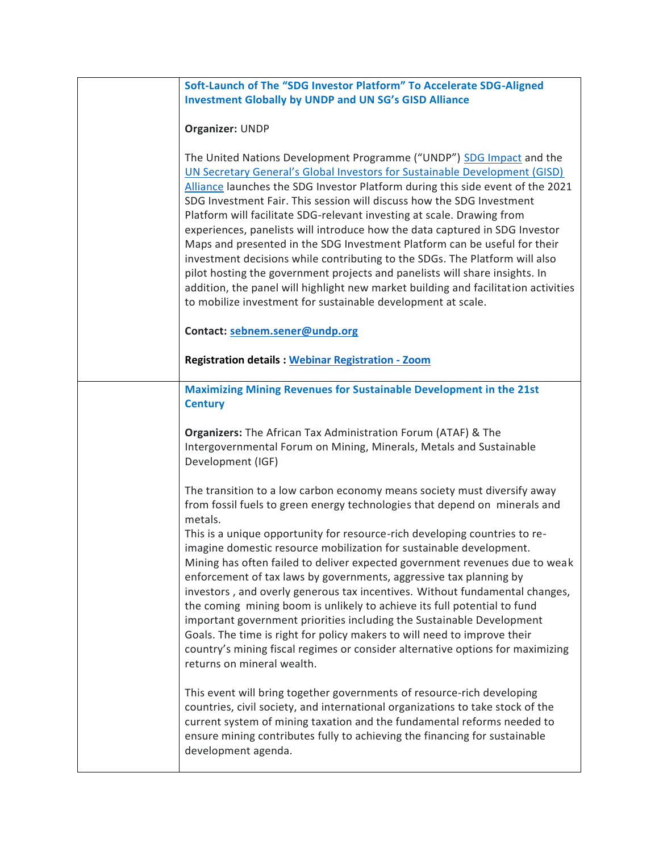| Soft-Launch of The "SDG Investor Platform" To Accelerate SDG-Aligned<br><b>Investment Globally by UNDP and UN SG's GISD Alliance</b>                                                                                                                                                                                                                                                                                                                                                                                                                                                                                                                                                                                                                                                                                                                                                                                                                                                                                                                                                                                                                                                                                                                    |
|---------------------------------------------------------------------------------------------------------------------------------------------------------------------------------------------------------------------------------------------------------------------------------------------------------------------------------------------------------------------------------------------------------------------------------------------------------------------------------------------------------------------------------------------------------------------------------------------------------------------------------------------------------------------------------------------------------------------------------------------------------------------------------------------------------------------------------------------------------------------------------------------------------------------------------------------------------------------------------------------------------------------------------------------------------------------------------------------------------------------------------------------------------------------------------------------------------------------------------------------------------|
| Organizer: UNDP                                                                                                                                                                                                                                                                                                                                                                                                                                                                                                                                                                                                                                                                                                                                                                                                                                                                                                                                                                                                                                                                                                                                                                                                                                         |
| The United Nations Development Programme ("UNDP") SDG Impact and the<br>UN Secretary General's Global Investors for Sustainable Development (GISD)<br>Alliance launches the SDG Investor Platform during this side event of the 2021<br>SDG Investment Fair. This session will discuss how the SDG Investment<br>Platform will facilitate SDG-relevant investing at scale. Drawing from<br>experiences, panelists will introduce how the data captured in SDG Investor<br>Maps and presented in the SDG Investment Platform can be useful for their<br>investment decisions while contributing to the SDGs. The Platform will also<br>pilot hosting the government projects and panelists will share insights. In<br>addition, the panel will highlight new market building and facilitation activities<br>to mobilize investment for sustainable development at scale.                                                                                                                                                                                                                                                                                                                                                                                 |
| Contact: sebnem.sener@undp.org                                                                                                                                                                                                                                                                                                                                                                                                                                                                                                                                                                                                                                                                                                                                                                                                                                                                                                                                                                                                                                                                                                                                                                                                                          |
| <b>Registration details: Webinar Registration - Zoom</b>                                                                                                                                                                                                                                                                                                                                                                                                                                                                                                                                                                                                                                                                                                                                                                                                                                                                                                                                                                                                                                                                                                                                                                                                |
| <b>Maximizing Mining Revenues for Sustainable Development in the 21st</b><br><b>Century</b>                                                                                                                                                                                                                                                                                                                                                                                                                                                                                                                                                                                                                                                                                                                                                                                                                                                                                                                                                                                                                                                                                                                                                             |
| Organizers: The African Tax Administration Forum (ATAF) & The<br>Intergovernmental Forum on Mining, Minerals, Metals and Sustainable<br>Development (IGF)                                                                                                                                                                                                                                                                                                                                                                                                                                                                                                                                                                                                                                                                                                                                                                                                                                                                                                                                                                                                                                                                                               |
| The transition to a low carbon economy means society must diversify away<br>from fossil fuels to green energy technologies that depend on minerals and<br>metals.<br>This is a unique opportunity for resource-rich developing countries to re-<br>imagine domestic resource mobilization for sustainable development.<br>Mining has often failed to deliver expected government revenues due to weak<br>enforcement of tax laws by governments, aggressive tax planning by<br>investors, and overly generous tax incentives. Without fundamental changes,<br>the coming mining boom is unlikely to achieve its full potential to fund<br>important government priorities including the Sustainable Development<br>Goals. The time is right for policy makers to will need to improve their<br>country's mining fiscal regimes or consider alternative options for maximizing<br>returns on mineral wealth.<br>This event will bring together governments of resource-rich developing<br>countries, civil society, and international organizations to take stock of the<br>current system of mining taxation and the fundamental reforms needed to<br>ensure mining contributes fully to achieving the financing for sustainable<br>development agenda. |
|                                                                                                                                                                                                                                                                                                                                                                                                                                                                                                                                                                                                                                                                                                                                                                                                                                                                                                                                                                                                                                                                                                                                                                                                                                                         |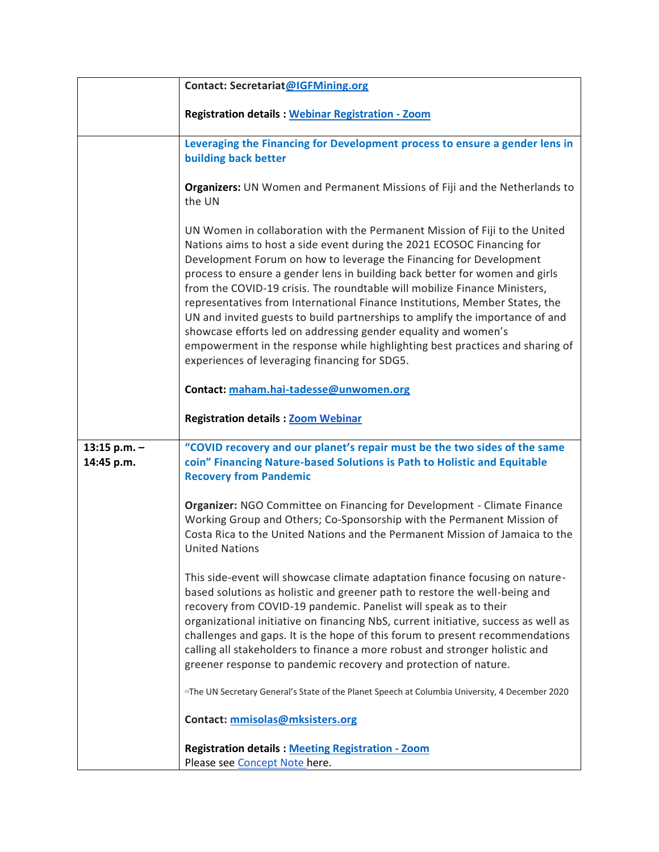|                              | Contact: Secretariat@IGFMining.org                                                                                                                                                                                                                                                                                                                                                                                                                                                                                                                                                                                                                                                                                                                       |
|------------------------------|----------------------------------------------------------------------------------------------------------------------------------------------------------------------------------------------------------------------------------------------------------------------------------------------------------------------------------------------------------------------------------------------------------------------------------------------------------------------------------------------------------------------------------------------------------------------------------------------------------------------------------------------------------------------------------------------------------------------------------------------------------|
|                              | <b>Registration details: Webinar Registration - Zoom</b>                                                                                                                                                                                                                                                                                                                                                                                                                                                                                                                                                                                                                                                                                                 |
|                              | Leveraging the Financing for Development process to ensure a gender lens in<br>building back better                                                                                                                                                                                                                                                                                                                                                                                                                                                                                                                                                                                                                                                      |
|                              | Organizers: UN Women and Permanent Missions of Fiji and the Netherlands to<br>the UN                                                                                                                                                                                                                                                                                                                                                                                                                                                                                                                                                                                                                                                                     |
|                              | UN Women in collaboration with the Permanent Mission of Fiji to the United<br>Nations aims to host a side event during the 2021 ECOSOC Financing for<br>Development Forum on how to leverage the Financing for Development<br>process to ensure a gender lens in building back better for women and girls<br>from the COVID-19 crisis. The roundtable will mobilize Finance Ministers,<br>representatives from International Finance Institutions, Member States, the<br>UN and invited guests to build partnerships to amplify the importance of and<br>showcase efforts led on addressing gender equality and women's<br>empowerment in the response while highlighting best practices and sharing of<br>experiences of leveraging financing for SDG5. |
|                              | Contact: maham.hai-tadesse@unwomen.org                                                                                                                                                                                                                                                                                                                                                                                                                                                                                                                                                                                                                                                                                                                   |
|                              | <b>Registration details: Zoom Webinar</b>                                                                                                                                                                                                                                                                                                                                                                                                                                                                                                                                                                                                                                                                                                                |
| 13:15 p.m. $-$<br>14:45 p.m. | "COVID recovery and our planet's repair must be the two sides of the same<br>coin" Financing Nature-based Solutions is Path to Holistic and Equitable<br><b>Recovery from Pandemic</b>                                                                                                                                                                                                                                                                                                                                                                                                                                                                                                                                                                   |
|                              | Organizer: NGO Committee on Financing for Development - Climate Finance<br>Working Group and Others; Co-Sponsorship with the Permanent Mission of<br>Costa Rica to the United Nations and the Permanent Mission of Jamaica to the<br><b>United Nations</b>                                                                                                                                                                                                                                                                                                                                                                                                                                                                                               |
|                              | This side-event will showcase climate adaptation finance focusing on nature-<br>based solutions as holistic and greener path to restore the well-being and<br>recovery from COVID-19 pandemic. Panelist will speak as to their<br>organizational initiative on financing NbS, current initiative, success as well as<br>challenges and gaps. It is the hope of this forum to present recommendations<br>calling all stakeholders to finance a more robust and stronger holistic and<br>greener response to pandemic recovery and protection of nature.                                                                                                                                                                                                   |
|                              | "The UN Secretary General's State of the Planet Speech at Columbia University, 4 December 2020                                                                                                                                                                                                                                                                                                                                                                                                                                                                                                                                                                                                                                                           |
|                              | Contact: mmisolas@mksisters.org                                                                                                                                                                                                                                                                                                                                                                                                                                                                                                                                                                                                                                                                                                                          |
|                              | <b>Registration details: Meeting Registration - Zoom</b><br>Please see Concept Note here.                                                                                                                                                                                                                                                                                                                                                                                                                                                                                                                                                                                                                                                                |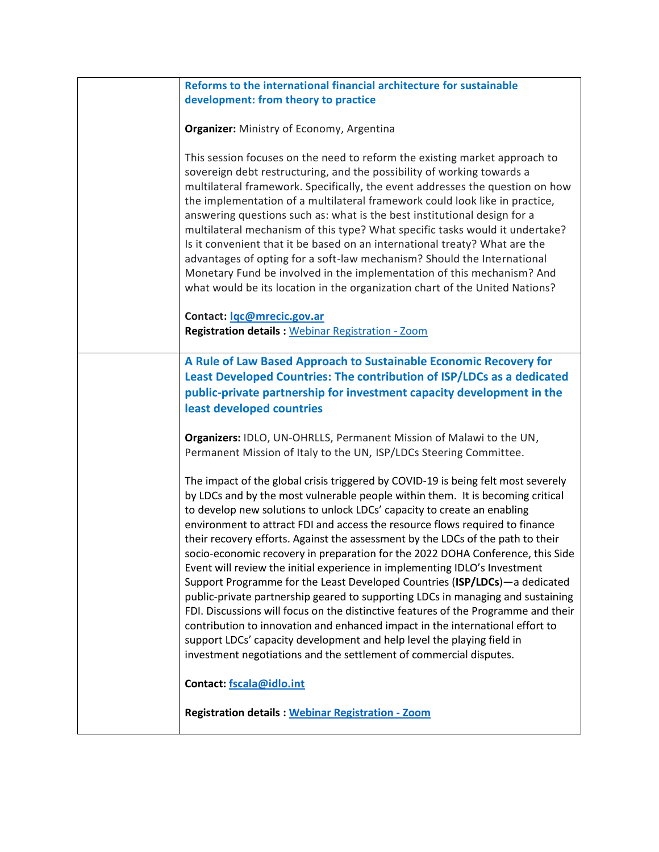| Reforms to the international financial architecture for sustainable                |
|------------------------------------------------------------------------------------|
| development: from theory to practice                                               |
|                                                                                    |
| Organizer: Ministry of Economy, Argentina                                          |
|                                                                                    |
| This session focuses on the need to reform the existing market approach to         |
| sovereign debt restructuring, and the possibility of working towards a             |
| multilateral framework. Specifically, the event addresses the question on how      |
| the implementation of a multilateral framework could look like in practice,        |
| answering questions such as: what is the best institutional design for a           |
| multilateral mechanism of this type? What specific tasks would it undertake?       |
|                                                                                    |
| Is it convenient that it be based on an international treaty? What are the         |
| advantages of opting for a soft-law mechanism? Should the International            |
| Monetary Fund be involved in the implementation of this mechanism? And             |
| what would be its location in the organization chart of the United Nations?        |
|                                                                                    |
| Contact: lgc@mrecic.gov.ar                                                         |
| <b>Registration details: Webinar Registration - Zoom</b>                           |
|                                                                                    |
| A Rule of Law Based Approach to Sustainable Economic Recovery for                  |
| Least Developed Countries: The contribution of ISP/LDCs as a dedicated             |
| public-private partnership for investment capacity development in the              |
| least developed countries                                                          |
|                                                                                    |
|                                                                                    |
| Organizers: IDLO, UN-OHRLLS, Permanent Mission of Malawi to the UN,                |
| Permanent Mission of Italy to the UN, ISP/LDCs Steering Committee.                 |
|                                                                                    |
| The impact of the global crisis triggered by COVID-19 is being felt most severely  |
| by LDCs and by the most vulnerable people within them. It is becoming critical     |
| to develop new solutions to unlock LDCs' capacity to create an enabling            |
| environment to attract FDI and access the resource flows required to finance       |
| their recovery efforts. Against the assessment by the LDCs of the path to their    |
| socio-economic recovery in preparation for the 2022 DOHA Conference, this Side     |
| Event will review the initial experience in implementing IDLO's Investment         |
| Support Programme for the Least Developed Countries (ISP/LDCs)-a dedicated         |
| public-private partnership geared to supporting LDCs in managing and sustaining    |
| FDI. Discussions will focus on the distinctive features of the Programme and their |
| contribution to innovation and enhanced impact in the international effort to      |
| support LDCs' capacity development and help level the playing field in             |
| investment negotiations and the settlement of commercial disputes.                 |
|                                                                                    |
| Contact: fscala@idlo.int                                                           |
|                                                                                    |
|                                                                                    |
| <b>Registration details: Webinar Registration - Zoom</b>                           |
|                                                                                    |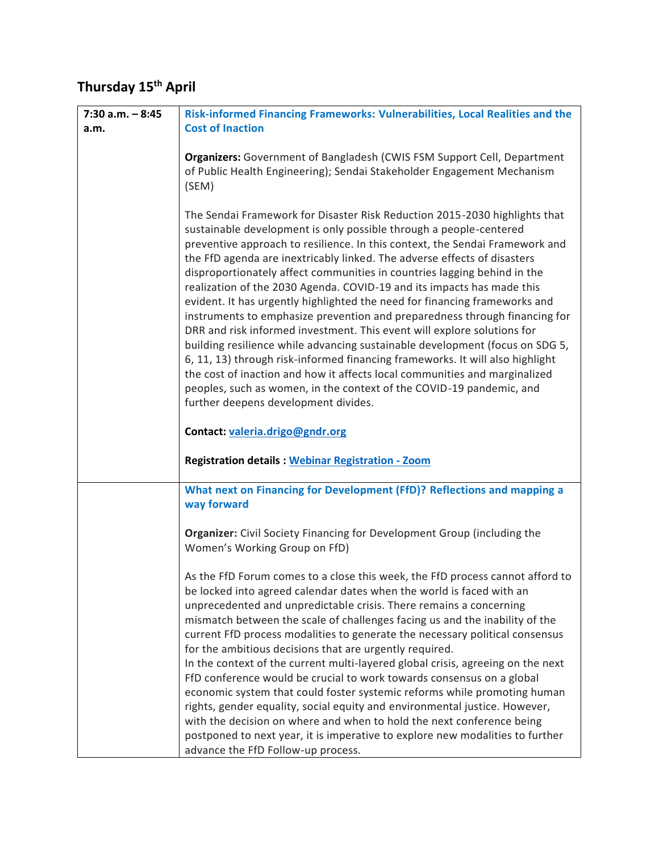## **Thursday 15th April**

| $7:30$ a.m. $-8:45$ | Risk-informed Financing Frameworks: Vulnerabilities, Local Realities and the                                                                                                                                                                                                                                                                                                                                                                                                                                                                                                                                                                                                                                                                                                                                                                                                                                                                                                                                                                                             |
|---------------------|--------------------------------------------------------------------------------------------------------------------------------------------------------------------------------------------------------------------------------------------------------------------------------------------------------------------------------------------------------------------------------------------------------------------------------------------------------------------------------------------------------------------------------------------------------------------------------------------------------------------------------------------------------------------------------------------------------------------------------------------------------------------------------------------------------------------------------------------------------------------------------------------------------------------------------------------------------------------------------------------------------------------------------------------------------------------------|
| a.m.                | <b>Cost of Inaction</b>                                                                                                                                                                                                                                                                                                                                                                                                                                                                                                                                                                                                                                                                                                                                                                                                                                                                                                                                                                                                                                                  |
|                     | Organizers: Government of Bangladesh (CWIS FSM Support Cell, Department<br>of Public Health Engineering); Sendai Stakeholder Engagement Mechanism<br>(SEM)                                                                                                                                                                                                                                                                                                                                                                                                                                                                                                                                                                                                                                                                                                                                                                                                                                                                                                               |
|                     | The Sendai Framework for Disaster Risk Reduction 2015-2030 highlights that<br>sustainable development is only possible through a people-centered<br>preventive approach to resilience. In this context, the Sendai Framework and<br>the FfD agenda are inextricably linked. The adverse effects of disasters<br>disproportionately affect communities in countries lagging behind in the<br>realization of the 2030 Agenda. COVID-19 and its impacts has made this<br>evident. It has urgently highlighted the need for financing frameworks and<br>instruments to emphasize prevention and preparedness through financing for<br>DRR and risk informed investment. This event will explore solutions for<br>building resilience while advancing sustainable development (focus on SDG 5,<br>6, 11, 13) through risk-informed financing frameworks. It will also highlight<br>the cost of inaction and how it affects local communities and marginalized<br>peoples, such as women, in the context of the COVID-19 pandemic, and<br>further deepens development divides. |
|                     | Contact: valeria.drigo@gndr.org                                                                                                                                                                                                                                                                                                                                                                                                                                                                                                                                                                                                                                                                                                                                                                                                                                                                                                                                                                                                                                          |
|                     | <b>Registration details: Webinar Registration - Zoom</b>                                                                                                                                                                                                                                                                                                                                                                                                                                                                                                                                                                                                                                                                                                                                                                                                                                                                                                                                                                                                                 |
|                     | What next on Financing for Development (FfD)? Reflections and mapping a<br>way forward                                                                                                                                                                                                                                                                                                                                                                                                                                                                                                                                                                                                                                                                                                                                                                                                                                                                                                                                                                                   |
|                     | Organizer: Civil Society Financing for Development Group (including the<br>Women's Working Group on FfD)                                                                                                                                                                                                                                                                                                                                                                                                                                                                                                                                                                                                                                                                                                                                                                                                                                                                                                                                                                 |
|                     | As the FfD Forum comes to a close this week, the FfD process cannot afford to<br>be locked into agreed calendar dates when the world is faced with an<br>unprecedented and unpredictable crisis. There remains a concerning<br>mismatch between the scale of challenges facing us and the inability of the<br>current FfD process modalities to generate the necessary political consensus<br>for the ambitious decisions that are urgently required.<br>In the context of the current multi-layered global crisis, agreeing on the next<br>FfD conference would be crucial to work towards consensus on a global<br>economic system that could foster systemic reforms while promoting human<br>rights, gender equality, social equity and environmental justice. However,<br>with the decision on where and when to hold the next conference being<br>postponed to next year, it is imperative to explore new modalities to further<br>advance the FfD Follow-up process.                                                                                              |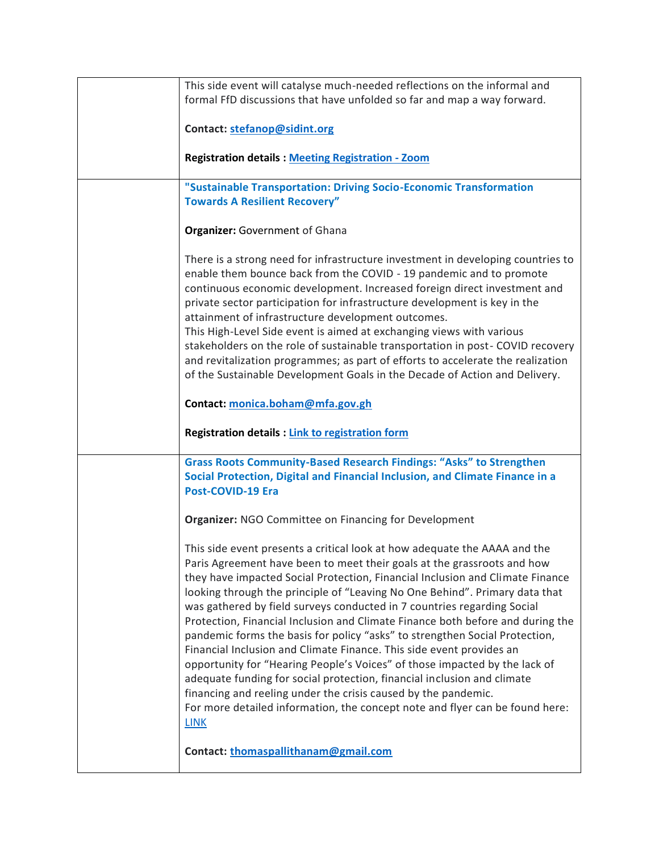| This side event will catalyse much-needed reflections on the informal and                         |
|---------------------------------------------------------------------------------------------------|
| formal FfD discussions that have unfolded so far and map a way forward.                           |
|                                                                                                   |
| Contact: stefanop@sidint.org                                                                      |
|                                                                                                   |
| <b>Registration details: Meeting Registration - Zoom</b>                                          |
|                                                                                                   |
| "Sustainable Transportation: Driving Socio-Economic Transformation                                |
| <b>Towards A Resilient Recovery"</b>                                                              |
|                                                                                                   |
| <b>Organizer: Government of Ghana</b>                                                             |
|                                                                                                   |
| There is a strong need for infrastructure investment in developing countries to                   |
| enable them bounce back from the COVID - 19 pandemic and to promote                               |
| continuous economic development. Increased foreign direct investment and                          |
| private sector participation for infrastructure development is key in the                         |
| attainment of infrastructure development outcomes.                                                |
| This High-Level Side event is aimed at exchanging views with various                              |
| stakeholders on the role of sustainable transportation in post- COVID recovery                    |
| and revitalization programmes; as part of efforts to accelerate the realization                   |
| of the Sustainable Development Goals in the Decade of Action and Delivery.                        |
|                                                                                                   |
| Contact: monica.boham@mfa.gov.gh                                                                  |
|                                                                                                   |
|                                                                                                   |
| <b>Registration details: Link to registration form</b>                                            |
|                                                                                                   |
| <b>Grass Roots Community-Based Research Findings: "Asks" to Strengthen</b>                        |
| Social Protection, Digital and Financial Inclusion, and Climate Finance in a<br>Post-COVID-19 Era |
|                                                                                                   |
| <b>Organizer: NGO Committee on Financing for Development</b>                                      |
|                                                                                                   |
| This side event presents a critical look at how adequate the AAAA and the                         |
| Paris Agreement have been to meet their goals at the grassroots and how                           |
| they have impacted Social Protection, Financial Inclusion and Climate Finance                     |
| looking through the principle of "Leaving No One Behind". Primary data that                       |
| was gathered by field surveys conducted in 7 countries regarding Social                           |
| Protection, Financial Inclusion and Climate Finance both before and during the                    |
| pandemic forms the basis for policy "asks" to strengthen Social Protection,                       |
| Financial Inclusion and Climate Finance. This side event provides an                              |
| opportunity for "Hearing People's Voices" of those impacted by the lack of                        |
| adequate funding for social protection, financial inclusion and climate                           |
| financing and reeling under the crisis caused by the pandemic.                                    |
| For more detailed information, the concept note and flyer can be found here:                      |
| <b>LINK</b>                                                                                       |
|                                                                                                   |
| Contact: thomaspallithanam@gmail.com                                                              |